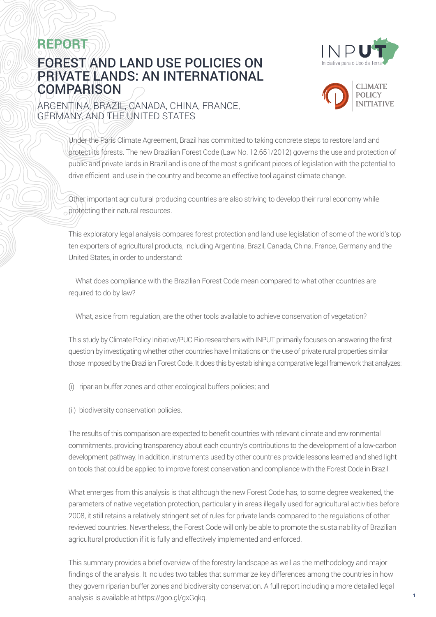



## FOREST AND LAND USE POLICIES ON PRIVATE LANDS: AN INTERNATIONAL **COMPARISON**



**1**

### ARGENTINA, BRAZIL, CANADA, CHINA, FRANCE, GERMANY, AND THE UNITED STATES

Under the Paris Climate Agreement, Brazil has committed to taking concrete steps to restore land and protect its forests. The new Brazilian Forest Code (Law No. 12.651/2012) governs the use and protection of public and private lands in Brazil and is one of the most significant pieces of legislation with the potential to drive efficient land use in the country and become an effective tool against climate change.

Other important agricultural producing countries are also striving to develop their rural economy while protecting their natural resources.

This exploratory legal analysis compares forest protection and land use legislation of some of the world's top ten exporters of agricultural products, including Argentina, Brazil, Canada, China, France, Germany and the United States, in order to understand:

- What does compliance with the Brazilian Forest Code mean compared to what other countries are required to do by law?
- What, aside from regulation, are the other tools available to achieve conservation of vegetation?

This study by Climate Policy Initiative/PUC-Rio researchers with INPUT primarily focuses on answering the first question by investigating whether other countries have limitations on the use of private rural properties similar those imposed by the Brazilian Forest Code. It does this by establishing a comparative legal framework that analyzes:

- (i) riparian buffer zones and other ecological buffers policies; and
- (ii) biodiversity conservation policies.

The results of this comparison are expected to benefit countries with relevant climate and environmental commitments, providing transparency about each country's contributions to the development of a low-carbon development pathway. In addition, instruments used by other countries provide lessons learned and shed light on tools that could be applied to improve forest conservation and compliance with the Forest Code in Brazil.

What emerges from this analysis is that although the new Forest Code has, to some degree weakened, the parameters of native vegetation protection, particularly in areas illegally used for agricultural activities before 2008, it still retains a relatively stringent set of rules for private lands compared to the regulations of other reviewed countries. Nevertheless, the Forest Code will only be able to promote the sustainability of Brazilian agricultural production if it is fully and effectively implemented and enforced.

This summary provides a brief overview of the forestry landscape as well as the methodology and major findings of the analysis. It includes two tables that summarize key differences among the countries in how they govern riparian buffer zones and biodiversity conservation. A full report including a more detailed legal analysis is available at <https://goo.gl/gxGqkq>.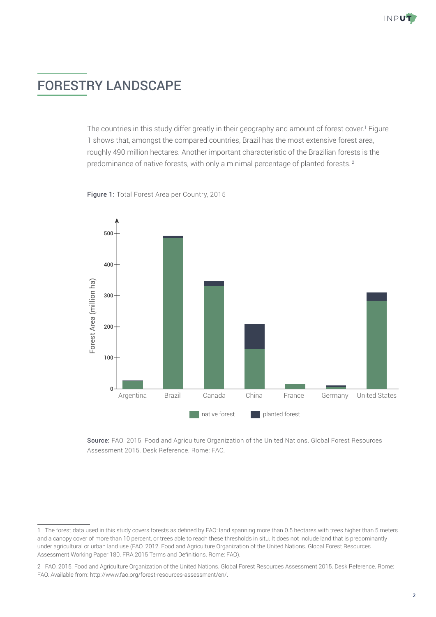# FORESTRY LANDSCAPE

The countries in this study differ greatly in their geography and amount of forest cover.<sup>1</sup> Figure 1 shows that, amongst the compared countries, Brazil has the most extensive forest area, roughly 490 million hectares. Another important characteristic of the Brazilian forests is the predominance of native forests, with only a minimal percentage of planted forests.<sup>2</sup>

Figure 1: Total Forest Area per Country, 2015



Source: *FAO, 2015* Source: FAO. 2015. Food and Agriculture Organization of the United Nations. Global Forest Resources Assessment 2015. Desk Reference. Rome: FAO.

<sup>1</sup> The forest data used in this study covers forests as defined by FAO: land spanning more than 0.5 hectares with trees higher than 5 meters and a canopy cover of more than 10 percent, or trees able to reach these thresholds in situ. It does not include land that is predominantly under agricultural or urban land use (FAO. 2012. Food and Agriculture Organization of the United Nations. Global Forest Resources Assessment Working Paper 180. FRA 2015 Terms and Definitions. Rome: FAO).

<sup>2</sup> FAO. 2015. Food and Agriculture Organization of the United Nations. Global Forest Resources Assessment 2015. Desk Reference. Rome: FAO. Available from: [http://www.fao.org/forest-resources-assessment/en/.](http://www.fao.org/forest-resources-assessment/en/)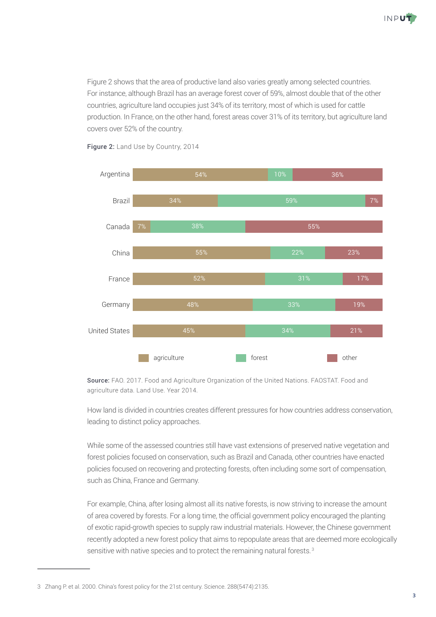

Figure 2 shows that the area of productive land also varies greatly among selected countries. For instance, although Brazil has an average forest cover of 59%, almost double that of the other countries, agriculture land occupies just 34% of its territory, most of which is used for cattle production. In France, on the other hand, forest areas cover 31% of its territory, but agriculture land covers over 52% of the country.  $\mathbb{L}$  . The country  $\mathbb{L}$ 



Figure 2: Land Use by Country, 2014

Source: FAO. 2017. Food and Agriculture Organization of the United Nations. FAOSTAT. Food and Source: *FAO, 2014* agriculture data. Land Use. Year 2014.

How land is divided in countries creates different pressures for how countries address conservation, leading to distinct policy approaches.

While some of the assessed countries still have vast extensions of preserved native vegetation and forest policies focused on conservation, such as Brazil and Canada, other countries have enacted policies focused on recovering and protecting forests, often including some sort of compensation, such as China, France and Germany.

For example, China, after losing almost all its native forests, is now striving to increase the amount of area covered by forests. For a long time, the official government policy encouraged the planting of exotic rapid-growth species to supply raw industrial materials. However, the Chinese government recently adopted a new forest policy that aims to repopulate areas that are deemed more ecologically sensitive with native species and to protect the remaining natural forests.<sup>3</sup>

<sup>3</sup> Zhang P. et al. 2000. China's forest policy for the 21st century. Science. 288(5474):2135.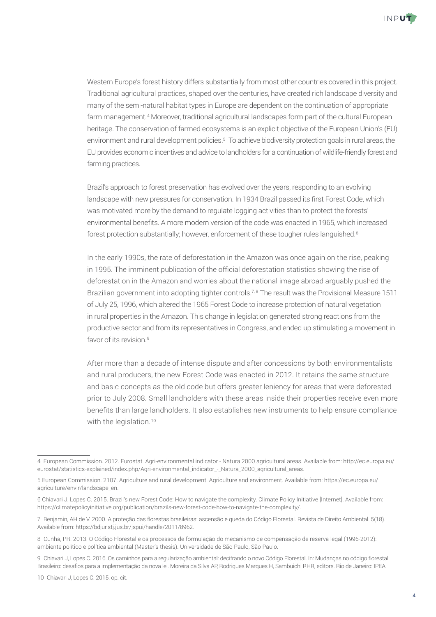

Western Europe's forest history differs substantially from most other countries covered in this project. Traditional agricultural practices, shaped over the centuries, have created rich landscape diversity and many of the semi-natural habitat types in Europe are dependent on the continuation of appropriate farm management.4 Moreover, traditional agricultural landscapes form part of the cultural European heritage. The conservation of farmed ecosystems is an explicit objective of the European Union's (EU) environment and rural development policies.<sup>5</sup> To achieve biodiversity protection goals in rural areas, the EU provides economic incentives and advice to landholders for a continuation of wildlife-friendly forest and farming practices.

Brazil's approach to forest preservation has evolved over the years, responding to an evolving landscape with new pressures for conservation. In 1934 Brazil passed its first Forest Code, which was motivated more by the demand to regulate logging activities than to protect the forests' environmental benefits. A more modern version of the code was enacted in 1965, which increased forest protection substantially; however, enforcement of these tougher rules languished.<sup>6</sup>

In the early 1990s, the rate of deforestation in the Amazon was once again on the rise, peaking in 1995. The imminent publication of the official deforestation statistics showing the rise of deforestation in the Amazon and worries about the national image abroad arguably pushed the Brazilian government into adopting tighter controls.<sup>7,8</sup> The result was the Provisional Measure 1511 of July 25, 1996, which altered the 1965 Forest Code to increase protection of natural vegetation in rural properties in the Amazon. This change in legislation generated strong reactions from the productive sector and from its representatives in Congress, and ended up stimulating a movement in favor of its revision.<sup>9</sup>

After more than a decade of intense dispute and after concessions by both environmentalists and rural producers, the new Forest Code was enacted in 2012. It retains the same structure and basic concepts as the old code but offers greater leniency for areas that were deforested prior to July 2008. Small landholders with these areas inside their properties receive even more benefits than large landholders. It also establishes new instruments to help ensure compliance with the legislation. $10$ 

<sup>4</sup> European Commission. 2012. Eurostat. Agri-environmental indicator - Natura 2000 agricultural areas. Available from: [http://ec.europa.eu/](http://ec.europa.eu/eurostat/statistics-explained/index.php/Agri-environmental_indicator_-_Natura_2000_agricultural_areas) [eurostat/statistics-explained/index.php/Agri-environmental\\_indicator\\_-\\_Natura\\_2000\\_agricultural\\_areas.](http://ec.europa.eu/eurostat/statistics-explained/index.php/Agri-environmental_indicator_-_Natura_2000_agricultural_areas)

<sup>5</sup> European Commission. 2107. Agriculture and rural development. Agriculture and environment. Available from: [https://ec.europa.eu/](https://ec.europa.eu/agriculture/envir/landscape_en) [agriculture/envir/landscape\\_en](https://ec.europa.eu/agriculture/envir/landscape_en).

<sup>6</sup> Chiavari J, Lopes C. 2015. Brazil's new Forest Code: How to navigate the complexity. Climate Policy Initiative [Internet]. Available from: <https://climatepolicyinitiative.org/publication/brazils-new-forest-code-how-to-navigate-the-complexity/>.

<sup>7</sup> Benjamin, AH de V. 2000. A proteção das florestas brasileiras: ascensão e queda do Código Florestal. Revista de Direito Ambiental. 5(18). Available from:<https://bdjur.stj.jus.br/jspui/handle/2011/8962>.

<sup>8</sup> Cunha, PR. 2013. O Código Florestal e os processos de formulação do mecanismo de compensação de reserva legal (1996-2012): ambiente político e política ambiental (Master's thesis). Universidade de São Paulo, São Paulo.

<sup>9</sup> Chiavari J, Lopes C. 2016. Os caminhos para a regularização ambiental: decifrando o novo Código Florestal. In: Mudanças no código florestal Brasileiro: desafios para a implementação da nova lei. Moreira da Silva AP, Rodrigues Marques H, Sambuichi RHR, editors. Rio de Janeiro: IPEA.

<sup>10</sup> Chiavari J, Lopes C. 2015. op. cit.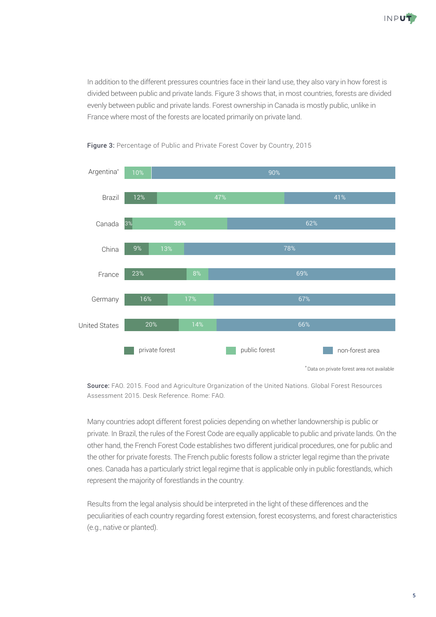

In addition to the different pressures countries face in their land use, they also vary in how forest is divided between public and private lands. Figure 3 shows that, in most countries, forests are divided evenly between public and private lands. Forest ownership in Canada is mostly public, unlike in France where most of the forests are located primarily on private land.



Figure 3: Percentage of Public and Private Forest Cover by Country, 2015

Source: FAO. 2015. Food and Agriculture Organization of the United Nations. Global Forest Resources Assessment 2015. Desk Reference. Rome: FAO.

Many countries adopt different forest policies depending on whether landownership is public or private. In Brazil, the rules of the Forest Code are equally applicable to public and private lands. On the other hand, the French Forest Code establishes two different juridical procedures, one for public and the other for private forests. The French public forests follow a stricter legal regime than the private ones. Canada has a particularly strict legal regime that is applicable only in public forestlands, which represent the majority of forestlands in the country.

Results from the legal analysis should be interpreted in the light of these differences and the peculiarities of each country regarding forest extension, forest ecosystems, and forest characteristics (e.g., native or planted).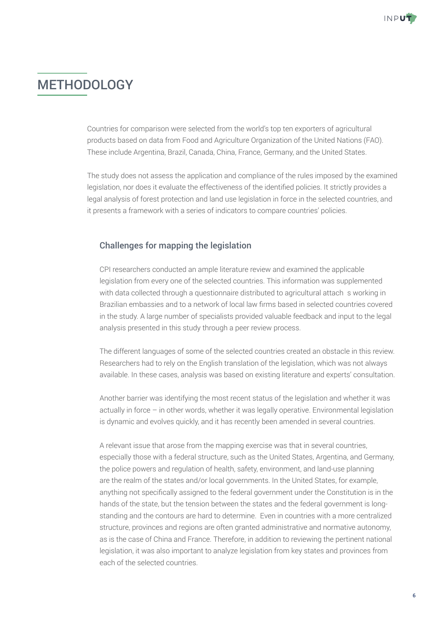# METHODOLOGY

Countries for comparison were selected from the world's top ten exporters of agricultural products based on data from Food and Agriculture Organization of the United Nations (FAO). These include Argentina, Brazil, Canada, China, France, Germany, and the United States.

The study does not assess the application and compliance of the rules imposed by the examined legislation, nor does it evaluate the effectiveness of the identified policies. It strictly provides a legal analysis of forest protection and land use legislation in force in the selected countries, and it presents a framework with a series of indicators to compare countries' policies.

### Challenges for mapping the legislation

CPI researchers conducted an ample literature review and examined the applicable legislation from every one of the selected countries. This information was supplemented with data collected through a questionnaire distributed to agricultural attachés working in Brazilian embassies and to a network of local law firms based in selected countries covered in the study. A large number of specialists provided valuable feedback and input to the legal analysis presented in this study through a peer review process.

The different languages of some of the selected countries created an obstacle in this review. Researchers had to rely on the English translation of the legislation, which was not always available. In these cases, analysis was based on existing literature and experts' consultation.

Another barrier was identifying the most recent status of the legislation and whether it was actually in force – in other words, whether it was legally operative. Environmental legislation is dynamic and evolves quickly, and it has recently been amended in several countries.

A relevant issue that arose from the mapping exercise was that in several countries, especially those with a federal structure, such as the United States, Argentina, and Germany, the police powers and regulation of health, safety, environment, and land-use planning are the realm of the states and/or local governments. In the United States, for example, anything not specifically assigned to the federal government under the Constitution is in the hands of the state, but the tension between the states and the federal government is longstanding and the contours are hard to determine. Even in countries with a more centralized structure, provinces and regions are often granted administrative and normative autonomy, as is the case of China and France. Therefore, in addition to reviewing the pertinent national legislation, it was also important to analyze legislation from key states and provinces from each of the selected countries.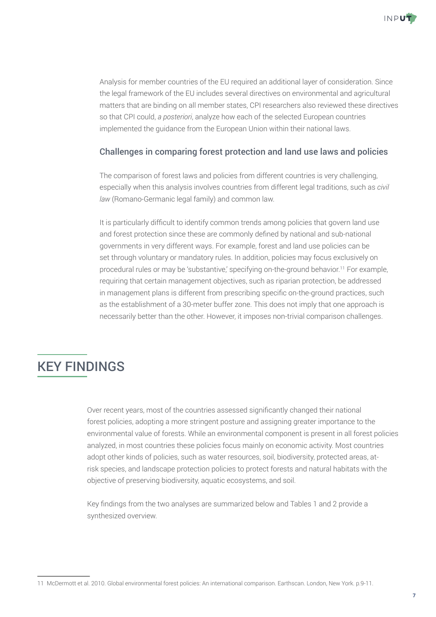

Analysis for member countries of the EU required an additional layer of consideration. Since the legal framework of the EU includes several directives on environmental and agricultural matters that are binding on all member states, CPI researchers also reviewed these directives so that CPI could, *a posteriori*, analyze how each of the selected European countries implemented the guidance from the European Union within their national laws.

### Challenges in comparing forest protection and land use laws and policies

The comparison of forest laws and policies from different countries is very challenging, especially when this analysis involves countries from different legal traditions, such as *civil law* (Romano-Germanic legal family) and common law.

It is particularly difficult to identify common trends among policies that govern land use and forest protection since these are commonly defined by national and sub-national governments in very different ways. For example, forest and land use policies can be set through voluntary or mandatory rules. In addition, policies may focus exclusively on procedural rules or may be 'substantive,' specifying on-the-ground behavior.<sup>11</sup> For example, requiring that certain management objectives, such as riparian protection, be addressed in management plans is different from prescribing specific on-the-ground practices, such as the establishment of a 30-meter buffer zone. This does not imply that one approach is necessarily better than the other. However, it imposes non-trivial comparison challenges.

# KEY FINDINGS

Over recent years, most of the countries assessed significantly changed their national forest policies, adopting a more stringent posture and assigning greater importance to the environmental value of forests. While an environmental component is present in all forest policies analyzed, in most countries these policies focus mainly on economic activity. Most countries adopt other kinds of policies, such as water resources, soil, biodiversity, protected areas, atrisk species, and landscape protection policies to protect forests and natural habitats with the objective of preserving biodiversity, aquatic ecosystems, and soil.

Key findings from the two analyses are summarized below and Tables 1 and 2 provide a synthesized overview.

<sup>11</sup> McDermott et al. 2010. Global environmental forest policies: An international comparison. Earthscan. London, New York. p.9-11.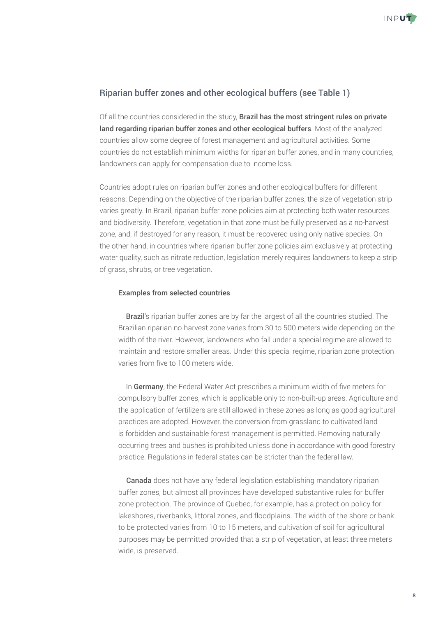

### Riparian buffer zones and other ecological buffers (see Table 1)

Of all the countries considered in the study, Brazil has the most stringent rules on private land regarding riparian buffer zones and other ecological buffers. Most of the analyzed countries allow some degree of forest management and agricultural activities. Some countries do not establish minimum widths for riparian buffer zones, and in many countries, landowners can apply for compensation due to income loss.

Countries adopt rules on riparian buffer zones and other ecological buffers for different reasons. Depending on the objective of the riparian buffer zones, the size of vegetation strip varies greatly. In Brazil, riparian buffer zone policies aim at protecting both water resources and biodiversity. Therefore, vegetation in that zone must be fully preserved as a no-harvest zone, and, if destroyed for any reason, it must be recovered using only native species. On the other hand, in countries where riparian buffer zone policies aim exclusively at protecting water quality, such as nitrate reduction, legislation merely requires landowners to keep a strip of grass, shrubs, or tree vegetation.

#### Examples from selected countries

• Brazil's riparian buffer zones are by far the largest of all the countries studied. The Brazilian riparian no-harvest zone varies from 30 to 500 meters wide depending on the width of the river. However, landowners who fall under a special regime are allowed to maintain and restore smaller areas. Under this special regime, riparian zone protection varies from five to 100 meters wide.

• In Germany, the Federal Water Act prescribes a minimum width of five meters for compulsory buffer zones, which is applicable only to non-built-up areas. Agriculture and the application of fertilizers are still allowed in these zones as long as good agricultural practices are adopted. However, the conversion from grassland to cultivated land is forbidden and sustainable forest management is permitted. Removing naturally occurring trees and bushes is prohibited unless done in accordance with good forestry practice. Regulations in federal states can be stricter than the federal law.

• Canada does not have any federal legislation establishing mandatory riparian buffer zones, but almost all provinces have developed substantive rules for buffer zone protection. The province of Quebec, for example, has a protection policy for lakeshores, riverbanks, littoral zones, and floodplains. The width of the shore or bank to be protected varies from 10 to 15 meters, and cultivation of soil for agricultural purposes may be permitted provided that a strip of vegetation, at least three meters wide, is preserved.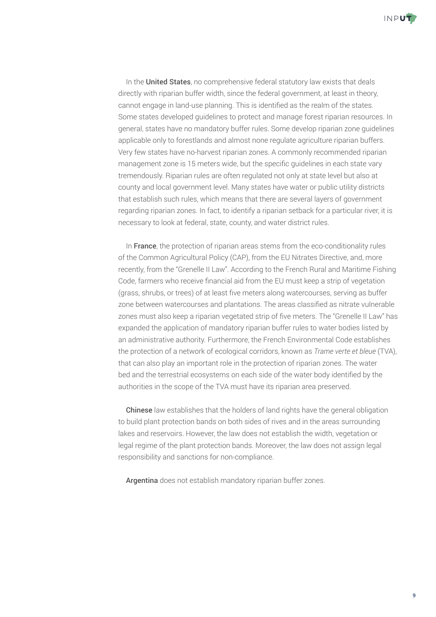

• In the United States, no comprehensive federal statutory law exists that deals directly with riparian buffer width, since the federal government, at least in theory, cannot engage in land-use planning. This is identified as the realm of the states. Some states developed guidelines to protect and manage forest riparian resources. In general, states have no mandatory buffer rules. Some develop riparian zone guidelines applicable only to forestlands and almost none regulate agriculture riparian buffers. Very few states have no-harvest riparian zones. A commonly recommended riparian management zone is 15 meters wide, but the specific guidelines in each state vary tremendously. Riparian rules are often regulated not only at state level but also at county and local government level. Many states have water or public utility districts that establish such rules, which means that there are several layers of government regarding riparian zones. In fact, to identify a riparian setback for a particular river, it is necessary to look at federal, state, county, and water district rules.

• In France, the protection of riparian areas stems from the eco-conditionality rules of the Common Agricultural Policy (CAP), from the EU Nitrates Directive, and, more recently, from the "Grenelle II Law". According to the French Rural and Maritime Fishing Code, farmers who receive financial aid from the EU must keep a strip of vegetation (grass, shrubs, or trees) of at least five meters along watercourses, serving as buffer zone between watercourses and plantations. The areas classified as nitrate vulnerable zones must also keep a riparian vegetated strip of five meters. The "Grenelle II Law" has expanded the application of mandatory riparian buffer rules to water bodies listed by an administrative authority. Furthermore, the French Environmental Code establishes the protection of a network of ecological corridors, known as *Trame verte et bleue* (TVA), that can also play an important role in the protection of riparian zones. The water bed and the terrestrial ecosystems on each side of the water body identified by the authorities in the scope of the TVA must have its riparian area preserved.

• Chinese law establishes that the holders of land rights have the general obligation to build plant protection bands on both sides of rives and in the areas surrounding lakes and reservoirs. However, the law does not establish the width, vegetation or legal regime of the plant protection bands. Moreover, the law does not assign legal responsibility and sanctions for non-compliance.

• Argentina does not establish mandatory riparian buffer zones.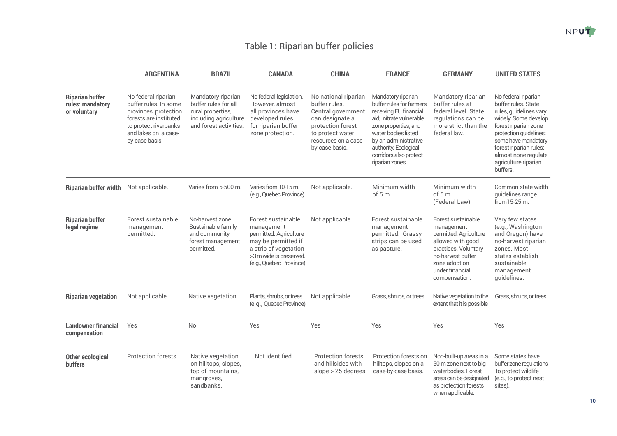## Table 1: Riparian buffer policies

|                                                            | <b>ARGENTINA</b>                                                                                                                                                   | <b>BRAZIL</b>                                                                                                      | <b>CANADA</b>                                                                                                                                                   | <b>CHINA</b>                                                                                                                                                      | <b>FRANCE</b>                                                                                                                                                                                                                                    | <b>GERMANY</b>                                                                                                                                                                    | <b>UNITED STATES</b>                                                                                                                                                                                                                                        |
|------------------------------------------------------------|--------------------------------------------------------------------------------------------------------------------------------------------------------------------|--------------------------------------------------------------------------------------------------------------------|-----------------------------------------------------------------------------------------------------------------------------------------------------------------|-------------------------------------------------------------------------------------------------------------------------------------------------------------------|--------------------------------------------------------------------------------------------------------------------------------------------------------------------------------------------------------------------------------------------------|-----------------------------------------------------------------------------------------------------------------------------------------------------------------------------------|-------------------------------------------------------------------------------------------------------------------------------------------------------------------------------------------------------------------------------------------------------------|
| <b>Riparian buffer</b><br>rules: mandatory<br>or voluntary | No federal riparian<br>buffer rules. In some<br>provinces, protection<br>forests are instituted<br>to protect riverbanks<br>and lakes on a case-<br>by-case basis. | Mandatory riparian<br>buffer rules for all<br>rural properties,<br>including agriculture<br>and forest activities. | No federal legislation.<br>However, almost<br>all provinces have<br>developed rules<br>for riparian buffer<br>zone protection.                                  | No national riparian<br>buffer rules.<br>Central government<br>can designate a<br>protection forest<br>to protect water<br>resources on a case-<br>by-case basis. | Mandatory riparian<br>buffer rules for farmers<br>receiving EU financial<br>aid; nitrate vulnerable<br>zone properties; and<br>water bodies listed<br>by an administrative<br>authority. Ecological<br>corridors also protect<br>riparian zones. | Mandatory riparian<br>buffer rules at<br>federal level. State<br>regulations can be<br>more strict than the<br>federal law.                                                       | No federal riparian<br>buffer rules. State<br>rules, guidelines vary<br>widely. Some develop<br>forest riparian zone<br>protection guidelines;<br>some have mandatory<br>forest riparian rules;<br>almost none regulate<br>agriculture riparian<br>buffers. |
| <b>Riparian buffer width</b>                               | Not applicable.                                                                                                                                                    | Varies from 5-500 m.                                                                                               | Varies from 10-15 m.<br>(e.g., Quebec Province)                                                                                                                 | Not applicable.                                                                                                                                                   | Minimum width<br>of $5m$ .                                                                                                                                                                                                                       | Minimum width<br>of $5m$ .<br>(Federal Law)                                                                                                                                       | Common state width<br>guidelines range<br>from 15-25 m.                                                                                                                                                                                                     |
| <b>Riparian buffer</b><br>legal regime                     | Forest sustainable<br>management<br>permitted.                                                                                                                     | No-harvest zone.<br>Sustainable family<br>and community<br>forest management<br>permitted.                         | Forest sustainable<br>management<br>permitted. Agriculture<br>may be permitted if<br>a strip of vegetation<br>>3m wide is preserved.<br>(e.g., Quebec Province) | Not applicable.                                                                                                                                                   | Forest sustainable<br>management<br>permitted. Grassy<br>strips can be used<br>as pasture.                                                                                                                                                       | Forest sustainable<br>management<br>permitted. Agriculture<br>allowed with good<br>practices. Voluntary<br>no-harvest buffer<br>zone adoption<br>under financial<br>compensation. | Very few states<br>(e.g., Washington<br>and Oregon) have<br>no-harvest riparian<br>zones. Most<br>states establish<br>sustainable<br>management<br>guidelines.                                                                                              |
| <b>Riparian vegetation</b>                                 | Not applicable.                                                                                                                                                    | Native vegetation.                                                                                                 | Plants, shrubs, or trees.<br>(e.g., Quebec Province)                                                                                                            | Not applicable.                                                                                                                                                   | Grass, shrubs, or trees.                                                                                                                                                                                                                         | Native vegetation to the<br>extent that it is possible                                                                                                                            | Grass, shrubs, or trees.                                                                                                                                                                                                                                    |
| <b>Landowner financial</b><br>compensation                 | Yes                                                                                                                                                                | No                                                                                                                 | Yes                                                                                                                                                             | Yes                                                                                                                                                               | Yes                                                                                                                                                                                                                                              | Yes                                                                                                                                                                               | Yes                                                                                                                                                                                                                                                         |
| <b>Other ecological</b><br><b>buffers</b>                  | Protection forests.                                                                                                                                                | Native vegetation<br>on hilltops, slopes,<br>top of mountains,<br>mangroves,<br>sandbanks.                         | Not identified.                                                                                                                                                 | <b>Protection forests</b><br>and hillsides with<br>slope > 25 degrees.                                                                                            | Protection forests on<br>hilltops, slopes on a<br>case-by-case basis.                                                                                                                                                                            | Non-built-up areas in a<br>50 m zone next to big<br>waterbodies. Forest<br>areas can be designated<br>as protection forests<br>when applicable.                                   | Some states have<br>buffer zone regulations<br>to protect wildlife<br>(e.g., to protect nest<br>sites).                                                                                                                                                     |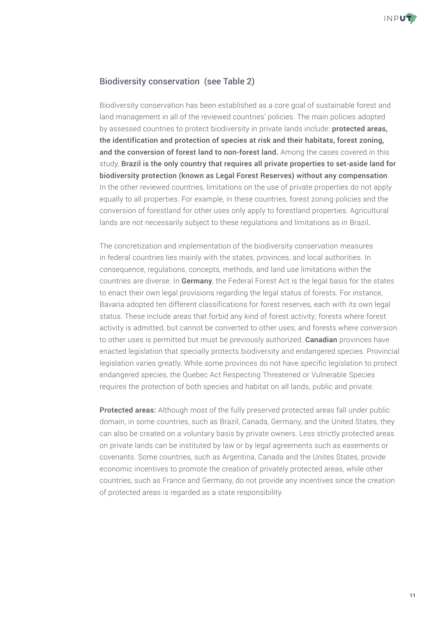

### Biodiversity conservation (see Table 2)

Biodiversity conservation has been established as a core goal of sustainable forest and land management in all of the reviewed countries' policies. The main policies adopted by assessed countries to protect biodiversity in private lands include: **protected areas,** the identification and protection of species at risk and their habitats, forest zoning, and the conversion of forest land to non-forest land. Among the cases covered in this study, Brazil is the only country that requires all private properties to set-aside land for biodiversity protection (known as Legal Forest Reserves) without any compensation. In the other reviewed countries, limitations on the use of private properties do not apply equally to all properties. For example, in these countries, forest zoning policies and the conversion of forestland for other uses only apply to forestland properties. Agricultural lands are not necessarily subject to these regulations and limitations as in Brazil.

The concretization and implementation of the biodiversity conservation measures in federal countries lies mainly with the states, provinces, and local authorities. In consequence, regulations, concepts, methods, and land use limitations within the countries are diverse. In Germany, the Federal Forest Act is the legal basis for the states to enact their own legal provisions regarding the legal status of forests. For instance, Bavaria adopted ten different classifications for forest reserves, each with its own legal status. These include areas that forbid any kind of forest activity; forests where forest activity is admitted, but cannot be converted to other uses; and forests where conversion to other uses is permitted but must be previously authorized. **Canadian** provinces have enacted legislation that specially protects biodiversity and endangered species. Provincial legislation varies greatly. While some provinces do not have specific legislation to protect endangered species, the Quebec Act Respecting Threatened or Vulnerable Species requires the protection of both species and habitat on all lands, public and private.

Protected areas: Although most of the fully preserved protected areas fall under public domain, in some countries, such as Brazil, Canada, Germany, and the United States, they can also be created on a voluntary basis by private owners. Less strictly protected areas on private lands can be instituted by law or by legal agreements such as easements or covenants. Some countries, such as Argentina, Canada and the Unites States, provide economic incentives to promote the creation of privately protected areas, while other countries, such as France and Germany, do not provide any incentives since the creation of protected areas is regarded as a state responsibility.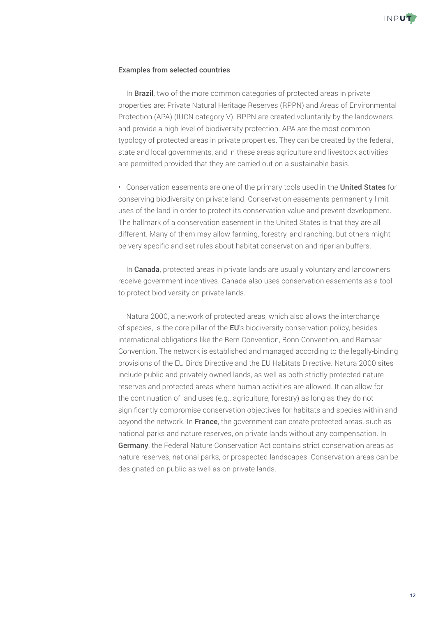

#### Examples from selected countries

• In **Brazil**, two of the more common categories of protected areas in private properties are: Private Natural Heritage Reserves (RPPN) and Areas of Environmental Protection (APA) (IUCN category V). RPPN are created voluntarily by the landowners and provide a high level of biodiversity protection. APA are the most common typology of protected areas in private properties. They can be created by the federal, state and local governments, and in these areas agriculture and livestock activities are permitted provided that they are carried out on a sustainable basis.

• Conservation easements are one of the primary tools used in the United States for conserving biodiversity on private land. Conservation easements permanently limit uses of the land in order to protect its conservation value and prevent development. The hallmark of a conservation easement in the United States is that they are all different. Many of them may allow farming, forestry, and ranching, but others might be very specific and set rules about habitat conservation and riparian buffers.

• In **Canada**, protected areas in private lands are usually voluntary and landowners receive government incentives. Canada also uses conservation easements as a tool to protect biodiversity on private lands.

• Natura 2000, a network of protected areas, which also allows the interchange of species, is the core pillar of the EU's biodiversity conservation policy, besides international obligations like the Bern Convention, Bonn Convention, and Ramsar Convention. The network is established and managed according to the legally-binding provisions of the EU Birds Directive and the EU Habitats Directive. Natura 2000 sites include public and privately owned lands, as well as both strictly protected nature reserves and protected areas where human activities are allowed. It can allow for the continuation of land uses (e.g., agriculture, forestry) as long as they do not significantly compromise conservation objectives for habitats and species within and beyond the network. In France, the government can create protected areas, such as national parks and nature reserves, on private lands without any compensation. In Germany, the Federal Nature Conservation Act contains strict conservation areas as nature reserves, national parks, or prospected landscapes. Conservation areas can be designated on public as well as on private lands.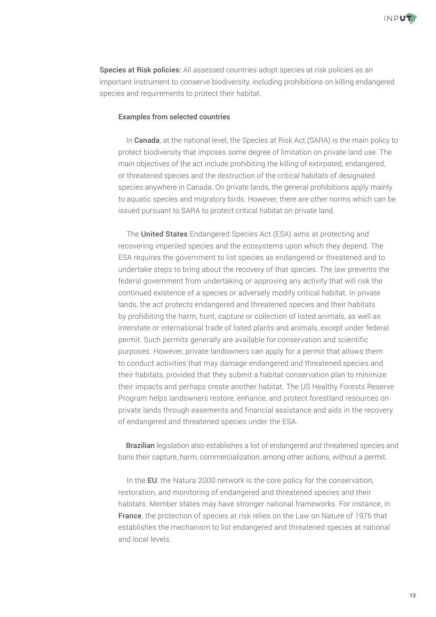

Species at Risk policies: All assessed countries adopt species at risk policies as an important instrument to conserve biodiversity, including prohibitions on killing endangered species and requirements to protect their habitat.

#### Examples from selected countries

• In Canada, at the national level, the Species at Risk Act (SARA) is the main policy to protect biodiversity that imposes some degree of limitation on private land use. The main objectives of the act include prohibiting the killing of extirpated, endangered, or threatened species and the destruction of the critical habitats of designated species anywhere in Canada. On private lands, the general prohibitions apply mainly to aquatic species and migratory birds. However, there are other norms which can be issued pursuant to SARA to protect critical habitat on private land.

• The United States Endangered Species Act (ESA) aims at protecting and recovering imperiled species and the ecosystems upon which they depend. The ESA requires the government to list species as endangered or threatened and to undertake steps to bring about the recovery of that species. The law prevents the federal government from undertaking or approving any activity that will risk the continued existence of a species or adversely modify critical habitat. In private lands, the act protects endangered and threatened species and their habitats by prohibiting the harm, hunt, capture or collection of listed animals, as well as interstate or international trade of listed plants and animals, except under federal permit. Such permits generally are available for conservation and scientific purposes. However, private landowners can apply for a permit that allows them to conduct activities that may damage endangered and threatened species and their habitats, provided that they submit a habitat conservation plan to minimize their impacts and perhaps create another habitat. The US Healthy Forests Reserve Program helps landowners restore, enhance, and protect forestland resources on private lands through easements and financial assistance and aids in the recovery of endangered and threatened species under the ESA.

• Brazilian legislation also establishes a list of endangered and threatened species and bans their capture, harm, commercialization, among other actions, without a permit.

• In the EU, the Natura 2000 network is the core policy for the conservation, restoration, and monitoring of endangered and threatened species and their habitats. Member states may have stronger national frameworks. For instance, in France, the protection of species at risk relies on the Law on Nature of 1976 that establishes the mechanism to list endangered and threatened species at national and local levels.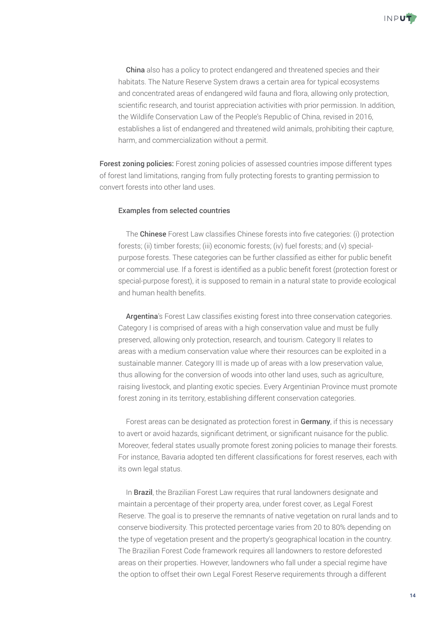

• China also has a policy to protect endangered and threatened species and their habitats. The Nature Reserve System draws a certain area for typical ecosystems and concentrated areas of endangered wild fauna and flora, allowing only protection, scientific research, and tourist appreciation activities with prior permission. In addition, the Wildlife Conservation Law of the People's Republic of China, revised in 2016, establishes a list of endangered and threatened wild animals, prohibiting their capture, harm, and commercialization without a permit.

Forest zoning policies: Forest zoning policies of assessed countries impose different types of forest land limitations, ranging from fully protecting forests to granting permission to convert forests into other land uses.

#### Examples from selected countries

• The Chinese Forest Law classifies Chinese forests into five categories: (i) protection forests; (ii) timber forests; (iii) economic forests; (iv) fuel forests; and (v) specialpurpose forests. These categories can be further classified as either for public benefit or commercial use. If a forest is identified as a public benefit forest (protection forest or special-purpose forest), it is supposed to remain in a natural state to provide ecological and human health benefits.

• Argentina's Forest Law classifies existing forest into three conservation categories. Category I is comprised of areas with a high conservation value and must be fully preserved, allowing only protection, research, and tourism. Category II relates to areas with a medium conservation value where their resources can be exploited in a sustainable manner. Category III is made up of areas with a low preservation value, thus allowing for the conversion of woods into other land uses, such as agriculture, raising livestock, and planting exotic species. Every Argentinian Province must promote forest zoning in its territory, establishing different conservation categories.

• Forest areas can be designated as protection forest in Germany, if this is necessary to avert or avoid hazards, significant detriment, or significant nuisance for the public. Moreover, federal states usually promote forest zoning policies to manage their forests. For instance, Bavaria adopted ten different classifications for forest reserves, each with its own legal status.

• In Brazil, the Brazilian Forest Law requires that rural landowners designate and maintain a percentage of their property area, under forest cover, as Legal Forest Reserve. The goal is to preserve the remnants of native vegetation on rural lands and to conserve biodiversity. This protected percentage varies from 20 to 80% depending on the type of vegetation present and the property's geographical location in the country. The Brazilian Forest Code framework requires all landowners to restore deforested areas on their properties. However, landowners who fall under a special regime have the option to offset their own Legal Forest Reserve requirements through a different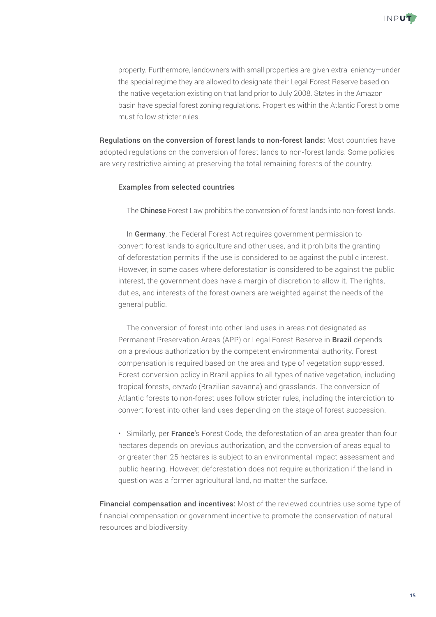

property. Furthermore, landowners with small properties are given extra leniency—under the special regime they are allowed to designate their Legal Forest Reserve based on the native vegetation existing on that land prior to July 2008. States in the Amazon basin have special forest zoning regulations. Properties within the Atlantic Forest biome must follow stricter rules.

Regulations on the conversion of forest lands to non-forest lands: Most countries have adopted regulations on the conversion of forest lands to non-forest lands. Some policies are very restrictive aiming at preserving the total remaining forests of the country.

#### Examples from selected countries

• The Chinese Forest Law prohibits the conversion of forest lands into non-forest lands.

• In Germany, the Federal Forest Act requires government permission to convert forest lands to agriculture and other uses, and it prohibits the granting of deforestation permits if the use is considered to be against the public interest. However, in some cases where deforestation is considered to be against the public interest, the government does have a margin of discretion to allow it. The rights, duties, and interests of the forest owners are weighted against the needs of the general public.

• The conversion of forest into other land uses in areas not designated as Permanent Preservation Areas (APP) or Legal Forest Reserve in **Brazil** depends on a previous authorization by the competent environmental authority. Forest compensation is required based on the area and type of vegetation suppressed. Forest conversion policy in Brazil applies to all types of native vegetation, including tropical forests, *cerrado* (Brazilian savanna) and grasslands. The conversion of Atlantic forests to non-forest uses follow stricter rules, including the interdiction to convert forest into other land uses depending on the stage of forest succession.

• Similarly, per France's Forest Code, the deforestation of an area greater than four hectares depends on previous authorization, and the conversion of areas equal to or greater than 25 hectares is subject to an environmental impact assessment and public hearing. However, deforestation does not require authorization if the land in question was a former agricultural land, no matter the surface.

Financial compensation and incentives: Most of the reviewed countries use some type of financial compensation or government incentive to promote the conservation of natural resources and biodiversity.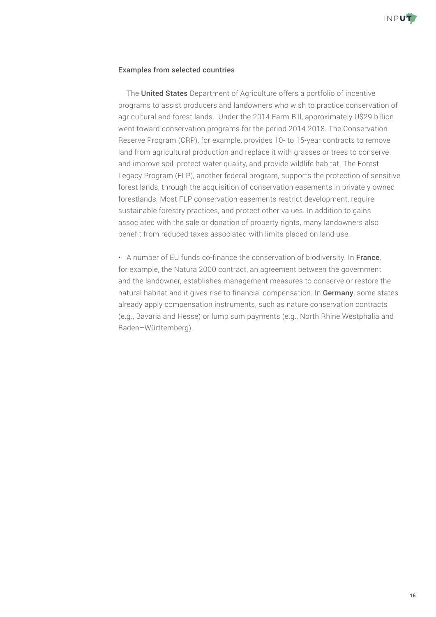

#### Examples from selected countries

• The **United States** Department of Agriculture offers a portfolio of incentive programs to assist producers and landowners who wish to practice conservation of agricultural and forest lands. Under the 2014 Farm Bill, approximately U\$29 billion went toward conservation programs for the period 2014-2018. The Conservation Reserve Program (CRP), for example, provides 10- to 15-year contracts to remove land from agricultural production and replace it with grasses or trees to conserve and improve soil, protect water quality, and provide wildlife habitat. The Forest Legacy Program (FLP), another federal program, supports the protection of sensitive forest lands, through the acquisition of conservation easements in privately owned forestlands. Most FLP conservation easements restrict development, require sustainable forestry practices, and protect other values. In addition to gains associated with the sale or donation of property rights, many landowners also benefit from reduced taxes associated with limits placed on land use.

• A number of EU funds co-finance the conservation of biodiversity. In France, for example, the Natura 2000 contract, an agreement between the government and the landowner, establishes management measures to conserve or restore the natural habitat and it gives rise to financial compensation. In Germany, some states already apply compensation instruments, such as nature conservation contracts (e.g., Bavaria and Hesse) or lump sum payments (e.g., North Rhine Westphalia and Baden–Württemberg).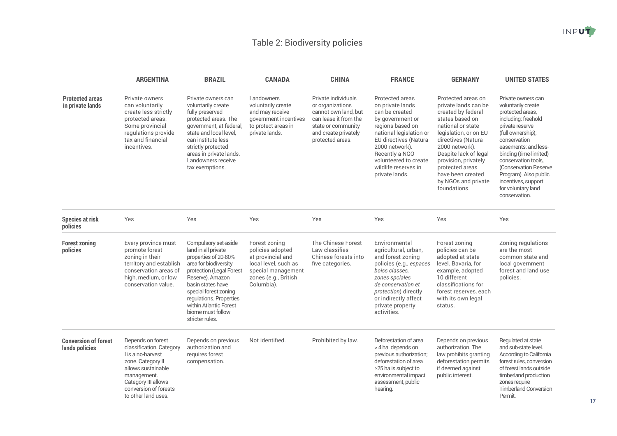## Table 2: Biodiversity policies

|                                               | <b>ARGENTINA</b>                                                                                                                                                                                    | <b>BRAZIL</b>                                                                                                                                                                                                                                                                           | <b>CANADA</b>                                                                                                                              | <b>CHINA</b>                                                                                                                                               | <b>FRANCE</b>                                                                                                                                                                                                                                            | <b>GERMANY</b>                                                                                                                                                                                                                                                                                            | <b>UNITED STATES</b>                                                                                                                                                                                                                                                                                                                 |
|-----------------------------------------------|-----------------------------------------------------------------------------------------------------------------------------------------------------------------------------------------------------|-----------------------------------------------------------------------------------------------------------------------------------------------------------------------------------------------------------------------------------------------------------------------------------------|--------------------------------------------------------------------------------------------------------------------------------------------|------------------------------------------------------------------------------------------------------------------------------------------------------------|----------------------------------------------------------------------------------------------------------------------------------------------------------------------------------------------------------------------------------------------------------|-----------------------------------------------------------------------------------------------------------------------------------------------------------------------------------------------------------------------------------------------------------------------------------------------------------|--------------------------------------------------------------------------------------------------------------------------------------------------------------------------------------------------------------------------------------------------------------------------------------------------------------------------------------|
| <b>Protected areas</b><br>in private lands    | Private owners<br>can voluntarily<br>create less strictly<br>protected areas.<br>Some provincial<br>regulations provide<br>tax and financial<br>incentives.                                         | Private owners can<br>voluntarily create<br>fully preserved<br>protected areas. The<br>government, at federal,<br>state and local level.<br>can institute less<br>strictly protected<br>areas in private lands.<br>Landowners receive<br>tax exemptions.                                | Landowners<br>voluntarily create<br>and may receive<br>government incentives<br>to protect areas in<br>private lands.                      | Private individuals<br>or organizations<br>cannot own land, but<br>can lease it from the<br>state or community<br>and create privately<br>protected areas. | Protected areas<br>on private lands<br>can be created<br>by government or<br>regions based on<br>national legislation or<br>EU directives (Natura<br>2000 network).<br>Recently a NGO<br>volunteered to create<br>wildlife reserves in<br>private lands. | Protected areas on<br>private lands can be<br>created by federal<br>states based on<br>national or state<br>legislation, or on EU<br>directives (Natura<br>2000 network).<br>Despite lack of legal<br>provision, privately<br>protected areas<br>have been created<br>by NGOs and private<br>foundations. | Private owners can<br>voluntarily create<br>protected areas,<br>including: freehold<br>private reserve<br>(full ownership);<br>conservation<br>easements; and less-<br>binding (time-limited)<br>conservation tools.<br>(Conservation Reserve<br>Program). Also public<br>incentives, support<br>for voluntary land<br>conservation. |
| <b>Species at risk</b><br>policies            | Yes                                                                                                                                                                                                 | Yes                                                                                                                                                                                                                                                                                     | Yes                                                                                                                                        | Yes                                                                                                                                                        | Yes                                                                                                                                                                                                                                                      | Yes                                                                                                                                                                                                                                                                                                       | Yes                                                                                                                                                                                                                                                                                                                                  |
| <b>Forest zoning</b><br>policies              | Every province must<br>promote forest<br>zoning in their<br>territory and establish<br>conservation areas of<br>high, medium, or low<br>conservation value.                                         | Compulsory set-aside<br>land in all private<br>properties of 20-80%<br>area for biodiversity<br>protection (Legal Forest<br>Reserve). Amazon<br>basin states have<br>special forest zoning<br>regulations. Properties<br>within Atlantic Forest<br>biome must follow<br>stricter rules. | Forest zoning<br>policies adopted<br>at provincial and<br>local level, such as<br>special management<br>zones (e.g., British<br>Columbia). | The Chinese Forest<br>Law classifies<br>Chinese forests into<br>five categories.                                                                           | Environmental<br>agricultural, urban,<br>and forest zoning<br>policies (e.g., espaces<br>boisé classes,<br>zones spéiales<br>de conservation et<br><i>protection</i> ) directly<br>or indirectly affect<br>private property<br>activities.               | Forest zoning<br>policies can be<br>adopted at state<br>level. Bavaria, for<br>example, adopted<br>10 different<br>classifications for<br>forest reserves, each<br>with its own legal<br>status.                                                                                                          | Zoning regulations<br>are the most<br>common state and<br>local government<br>forest and land use<br>policies.                                                                                                                                                                                                                       |
| <b>Conversion of forest</b><br>lands policies | Depends on forest<br>classification. Category<br>I is a no-harvest<br>zone. Category II<br>allows sustainable<br>management.<br>Category III allows<br>conversion of forests<br>to other land uses. | Depends on previous<br>authorization and<br>requires forest<br>compensation.                                                                                                                                                                                                            | Not identified.                                                                                                                            | Prohibited by law.                                                                                                                                         | Deforestation of area<br>> 4 ha depends on<br>previous authorization;<br>deforestation of area<br>≥25 ha is subject to<br>environmental impact<br>assessment, public<br>hearing.                                                                         | Depends on previous<br>authorization. The<br>law prohibits granting<br>deforestation permits<br>if deemed against<br>public interest.                                                                                                                                                                     | Regulated at state<br>and sub-state level.<br>According to California<br>forest rules, conversion<br>of forest lands outside<br>timberland production<br>zones require<br><b>Timberland Conversion</b><br>Permit.                                                                                                                    |